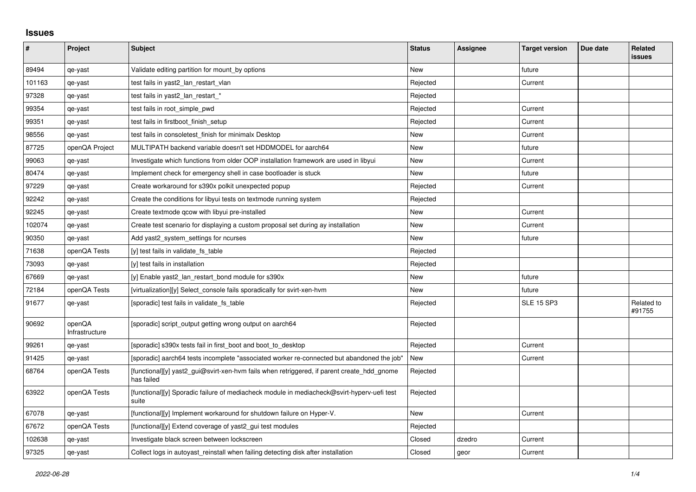## **Issues**

| #      | Project                  | <b>Subject</b>                                                                                           | <b>Status</b> | <b>Assignee</b> | <b>Target version</b> | Due date | Related<br><b>issues</b> |
|--------|--------------------------|----------------------------------------------------------------------------------------------------------|---------------|-----------------|-----------------------|----------|--------------------------|
| 89494  | qe-yast                  | Validate editing partition for mount by options                                                          | <b>New</b>    |                 | future                |          |                          |
| 101163 | qe-yast                  | test fails in yast2_lan_restart_vlan                                                                     | Rejected      |                 | Current               |          |                          |
| 97328  | qe-yast                  | test fails in yast2 lan restart *                                                                        | Rejected      |                 |                       |          |                          |
| 99354  | qe-yast                  | test fails in root_simple_pwd                                                                            | Rejected      |                 | Current               |          |                          |
| 99351  | qe-yast                  | test fails in firstboot finish setup                                                                     | Rejected      |                 | Current               |          |                          |
| 98556  | qe-yast                  | test fails in consoletest finish for minimalx Desktop                                                    | <b>New</b>    |                 | Current               |          |                          |
| 87725  | openQA Project           | MULTIPATH backend variable doesn't set HDDMODEL for aarch64                                              | <b>New</b>    |                 | future                |          |                          |
| 99063  | qe-yast                  | Investigate which functions from older OOP installation framework are used in libyui                     | New           |                 | Current               |          |                          |
| 80474  | qe-yast                  | Implement check for emergency shell in case bootloader is stuck                                          | <b>New</b>    |                 | future                |          |                          |
| 97229  | qe-yast                  | Create workaround for s390x polkit unexpected popup                                                      | Rejected      |                 | Current               |          |                          |
| 92242  | qe-yast                  | Create the conditions for libyui tests on textmode running system                                        | Rejected      |                 |                       |          |                          |
| 92245  | qe-yast                  | Create textmode qcow with libyui pre-installed                                                           | <b>New</b>    |                 | Current               |          |                          |
| 102074 | qe-yast                  | Create test scenario for displaying a custom proposal set during ay installation                         | <b>New</b>    |                 | Current               |          |                          |
| 90350  | qe-yast                  | Add yast2_system_settings for ncurses                                                                    | New           |                 | future                |          |                          |
| 71638  | openQA Tests             | [y] test fails in validate fs_table                                                                      | Rejected      |                 |                       |          |                          |
| 73093  | qe-yast                  | [y] test fails in installation                                                                           | Rejected      |                 |                       |          |                          |
| 67669  | qe-yast                  | [y] Enable yast2 lan restart bond module for s390x                                                       | New           |                 | future                |          |                          |
| 72184  | openQA Tests             | [virtualization][y] Select_console fails sporadically for svirt-xen-hvm                                  | New           |                 | future                |          |                          |
| 91677  | qe-yast                  | [sporadic] test fails in validate_fs_table                                                               | Rejected      |                 | <b>SLE 15 SP3</b>     |          | Related to<br>#91755     |
| 90692  | openQA<br>Infrastructure | [sporadic] script output getting wrong output on aarch64                                                 | Rejected      |                 |                       |          |                          |
| 99261  | qe-yast                  | [sporadic] s390x tests fail in first_boot and boot_to_desktop                                            | Rejected      |                 | Current               |          |                          |
| 91425  | qe-yast                  | [sporadic] aarch64 tests incomplete "associated worker re-connected but abandoned the job"               | New           |                 | Current               |          |                          |
| 68764  | openQA Tests             | [functional][y] yast2_gui@svirt-xen-hvm fails when retriggered, if parent create_hdd_gnome<br>has failed | Rejected      |                 |                       |          |                          |
| 63922  | openQA Tests             | [functional][y] Sporadic failure of mediacheck module in mediacheck@svirt-hyperv-uefi test<br>suite      | Rejected      |                 |                       |          |                          |
| 67078  | qe-yast                  | [functional][y] Implement workaround for shutdown failure on Hyper-V.                                    | New           |                 | Current               |          |                          |
| 67672  | openQA Tests             | [functional][y] Extend coverage of yast2_gui test modules                                                | Rejected      |                 |                       |          |                          |
| 102638 | qe-yast                  | Investigate black screen between lockscreen                                                              | Closed        | dzedro          | Current               |          |                          |
| 97325  | qe-yast                  | Collect logs in autoyast_reinstall when failing detecting disk after installation                        | Closed        | geor            | Current               |          |                          |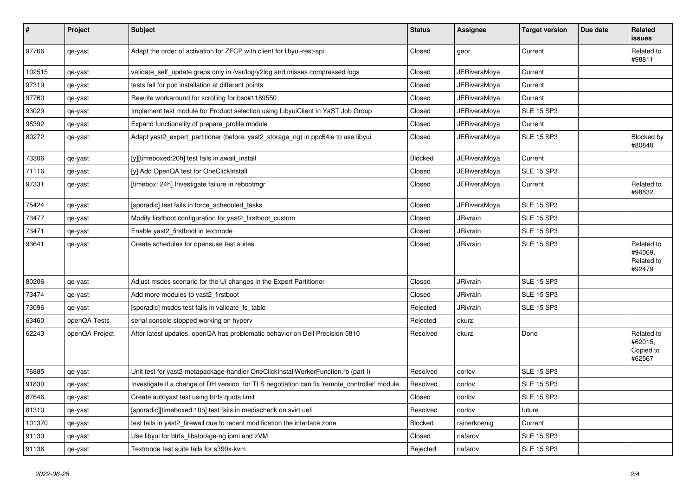| $\pmb{\#}$ | Project        | <b>Subject</b>                                                                               | <b>Status</b>  | Assignee            | <b>Target version</b> | Due date | <b>Related</b><br><b>issues</b>               |
|------------|----------------|----------------------------------------------------------------------------------------------|----------------|---------------------|-----------------------|----------|-----------------------------------------------|
| 97766      | qe-yast        | Adapt the order of activation for ZFCP with client for libyui-rest-api                       | Closed         | geor                | Current               |          | Related to<br>#98811                          |
| 102515     | qe-yast        | validate_self_update greps only in /var/log/y2log and misses compressed logs                 | Closed         | JERiveraMoya        | Current               |          |                                               |
| 97319      | qe-yast        | tests fail for ppc installation at different points                                          | Closed         | <b>JERiveraMoya</b> | Current               |          |                                               |
| 97760      | qe-yast        | Rewrite workaround for scrolling for bsc#1189550                                             | Closed         | JERiveraMova        | Current               |          |                                               |
| 93029      | qe-yast        | Implement test module for Product selection using LibyuiClient in YaST Job Group             | Closed         | JERiveraMoya        | <b>SLE 15 SP3</b>     |          |                                               |
| 95392      | qe-yast        | Expand functionality of prepare_profile module                                               | Closed         | <b>JERiveraMoya</b> | Current               |          |                                               |
| 80272      | qe-yast        | Adapt yast2 expert partitioner (before: yast2 storage ng) in ppc64le to use libyui           | Closed         | JERiveraMoya        | <b>SLE 15 SP3</b>     |          | Blocked by<br>#80840                          |
| 73306      | qe-yast        | [y][timeboxed:20h] test fails in await_install                                               | Blocked        | JERiveraMoya        | Current               |          |                                               |
| 71116      | qe-yast        | [y] Add OpenQA test for OneClickInstall                                                      | Closed         | JERiveraMoya        | <b>SLE 15 SP3</b>     |          |                                               |
| 97331      | qe-yast        | [timebox: 24h] Investigate failure in rebootmgr                                              | Closed         | <b>JERiveraMoya</b> | Current               |          | Related to<br>#98832                          |
| 75424      | qe-yast        | [sporadic] test fails in force scheduled tasks                                               | Closed         | <b>JERiveraMoya</b> | <b>SLE 15 SP3</b>     |          |                                               |
| 73477      | qe-yast        | Modify firstboot configuration for yast2 firstboot custom                                    | Closed         | <b>JRivrain</b>     | <b>SLE 15 SP3</b>     |          |                                               |
| 73471      | qe-yast        | Enable yast2_firstboot in textmode                                                           | Closed         | <b>JRivrain</b>     | <b>SLE 15 SP3</b>     |          |                                               |
| 93641      | qe-yast        | Create schedules for opensuse test suites                                                    | Closed         | <b>JRivrain</b>     | <b>SLE 15 SP3</b>     |          | Related to<br>#94069,<br>Related to<br>#92479 |
| 80206      | qe-yast        | Adjust msdos scenario for the UI changes in the Expert Partitioner                           | Closed         | <b>JRivrain</b>     | <b>SLE 15 SP3</b>     |          |                                               |
| 73474      | qe-yast        | Add more modules to yast2 firstboot                                                          | Closed         | <b>JRivrain</b>     | <b>SLE 15 SP3</b>     |          |                                               |
| 73096      | qe-yast        | [sporadic] msdos test fails in validate_fs_table                                             | Rejected       | <b>JRivrain</b>     | <b>SLE 15 SP3</b>     |          |                                               |
| 63460      | openQA Tests   | serial console stopped working on hyperv                                                     | Rejected       | okurz               |                       |          |                                               |
| 62243      | openQA Project | After latest updates, openQA has problematic behavior on Dell Precision 5810                 | Resolved       | okurz               | Done                  |          | Related to<br>#62015,<br>Copied to<br>#62567  |
| 76885      | qe-yast        | Unit test for yast2-metapackage-handler OneClickInstallWorkerFunction.rb (part I)            | Resolved       | oorlov              | <b>SLE 15 SP3</b>     |          |                                               |
| 91830      | qe-yast        | Investigate if a change of DH version for TLS negotiation can fix 'remote_controller' module | Resolved       | oorlov              | <b>SLE 15 SP3</b>     |          |                                               |
| 87646      | qe-yast        | Create autoyast test using btrfs quota limit                                                 | Closed         | oorlov              | <b>SLE 15 SP3</b>     |          |                                               |
| 81310      | qe-yast        | [sporadic][timeboxed:10h] test fails in mediacheck on svirt uefi                             | Resolved       | oorlov              | future                |          |                                               |
| 101370     | qe-yast        | test fails in yast2_firewall due to recent modification the interface zone                   | <b>Blocked</b> | rainerkoenig        | Current               |          |                                               |
| 91130      | qe-yast        | Use libyui for btrfs libstorage-ng ipmi and zVM                                              | Closed         | riafarov            | <b>SLE 15 SP3</b>     |          |                                               |
| 91136      | qe-yast        | Textmode test suite fails for s390x-kvm                                                      | Rejected       | riafarov            | <b>SLE 15 SP3</b>     |          |                                               |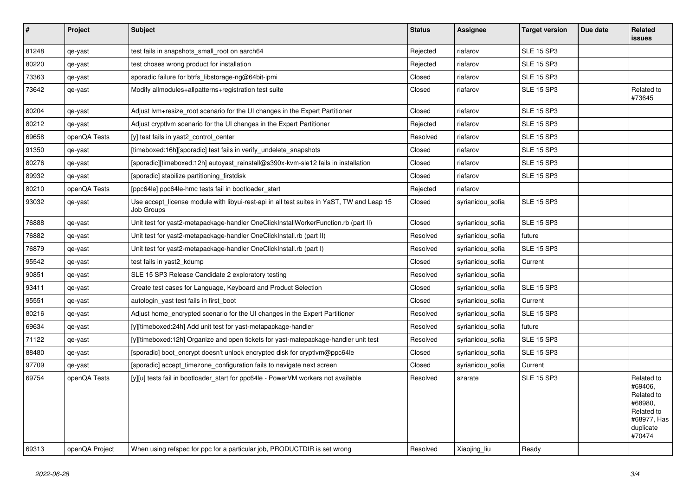| $\pmb{\#}$ | Project        | <b>Subject</b>                                                                                          | <b>Status</b> | Assignee         | <b>Target version</b> | Due date | Related<br><b>issues</b>                                                                           |
|------------|----------------|---------------------------------------------------------------------------------------------------------|---------------|------------------|-----------------------|----------|----------------------------------------------------------------------------------------------------|
| 81248      | qe-yast        | test fails in snapshots small root on aarch64                                                           | Rejected      | riafarov         | <b>SLE 15 SP3</b>     |          |                                                                                                    |
| 80220      | qe-yast        | test choses wrong product for installation                                                              | Rejected      | riafarov         | <b>SLE 15 SP3</b>     |          |                                                                                                    |
| 73363      | qe-yast        | sporadic failure for btrfs_libstorage-ng@64bit-ipmi                                                     | Closed        | riafarov         | <b>SLE 15 SP3</b>     |          |                                                                                                    |
| 73642      | qe-yast        | Modify allmodules+allpatterns+registration test suite                                                   | Closed        | riafarov         | <b>SLE 15 SP3</b>     |          | Related to<br>#73645                                                                               |
| 80204      | qe-yast        | Adjust Ivm+resize root scenario for the UI changes in the Expert Partitioner                            | Closed        | riafarov         | <b>SLE 15 SP3</b>     |          |                                                                                                    |
| 80212      | qe-yast        | Adjust cryptivm scenario for the UI changes in the Expert Partitioner                                   | Rejected      | riafarov         | <b>SLE 15 SP3</b>     |          |                                                                                                    |
| 69658      | openQA Tests   | [y] test fails in yast2_control_center                                                                  | Resolved      | riafarov         | <b>SLE 15 SP3</b>     |          |                                                                                                    |
| 91350      | qe-yast        | [timeboxed:16h][sporadic] test fails in verify_undelete_snapshots                                       | Closed        | riafarov         | <b>SLE 15 SP3</b>     |          |                                                                                                    |
| 80276      | qe-yast        | [sporadic][timeboxed:12h] autoyast reinstall@s390x-kvm-sle12 fails in installation                      | Closed        | riafarov         | <b>SLE 15 SP3</b>     |          |                                                                                                    |
| 89932      | qe-yast        | [sporadic] stabilize partitioning_firstdisk                                                             | Closed        | riafarov         | <b>SLE 15 SP3</b>     |          |                                                                                                    |
| 80210      | openQA Tests   | [ppc64le] ppc64le-hmc tests fail in bootloader_start                                                    | Rejected      | riafarov         |                       |          |                                                                                                    |
| 93032      | qe-yast        | Use accept_license module with libyui-rest-api in all test suites in YaST, TW and Leap 15<br>Job Groups | Closed        | syrianidou_sofia | <b>SLE 15 SP3</b>     |          |                                                                                                    |
| 76888      | qe-yast        | Unit test for yast2-metapackage-handler OneClickInstallWorkerFunction.rb (part II)                      | Closed        | syrianidou sofia | <b>SLE 15 SP3</b>     |          |                                                                                                    |
| 76882      | qe-yast        | Unit test for yast2-metapackage-handler OneClickInstall.rb (part II)                                    | Resolved      | syrianidou_sofia | future                |          |                                                                                                    |
| 76879      | qe-yast        | Unit test for yast2-metapackage-handler OneClickInstall.rb (part I)                                     | Resolved      | syrianidou sofia | <b>SLE 15 SP3</b>     |          |                                                                                                    |
| 95542      | qe-yast        | test fails in yast2_kdump                                                                               | Closed        | syrianidou_sofia | Current               |          |                                                                                                    |
| 90851      | qe-yast        | SLE 15 SP3 Release Candidate 2 exploratory testing                                                      | Resolved      | syrianidou_sofia |                       |          |                                                                                                    |
| 93411      | qe-yast        | Create test cases for Language, Keyboard and Product Selection                                          | Closed        | syrianidou sofia | <b>SLE 15 SP3</b>     |          |                                                                                                    |
| 95551      | qe-yast        | autologin yast test fails in first boot                                                                 | Closed        | syrianidou sofia | Current               |          |                                                                                                    |
| 80216      | qe-yast        | Adjust home_encrypted scenario for the UI changes in the Expert Partitioner                             | Resolved      | syrianidou sofia | <b>SLE 15 SP3</b>     |          |                                                                                                    |
| 69634      | qe-yast        | [y][timeboxed:24h] Add unit test for yast-metapackage-handler                                           | Resolved      | syrianidou_sofia | future                |          |                                                                                                    |
| 71122      | qe-yast        | [y][timeboxed:12h] Organize and open tickets for yast-matepackage-handler unit test                     | Resolved      | syrianidou_sofia | <b>SLE 15 SP3</b>     |          |                                                                                                    |
| 88480      | qe-yast        | [sporadic] boot encrypt doesn't unlock encrypted disk for cryptlym@ppc64le                              | Closed        | syrianidou sofia | <b>SLE 15 SP3</b>     |          |                                                                                                    |
| 97709      | qe-yast        | [sporadic] accept timezone configuration fails to navigate next screen                                  | Closed        | syrianidou sofia | Current               |          |                                                                                                    |
| 69754      | openQA Tests   | [y][u] tests fail in bootloader start for ppc64le - PowerVM workers not available                       | Resolved      | szarate          | <b>SLE 15 SP3</b>     |          | Related to<br>#69406,<br>Related to<br>#68980.<br>Related to<br>#68977, Has<br>duplicate<br>#70474 |
| 69313      | openQA Project | When using refspec for ppc for a particular job, PRODUCTDIR is set wrong                                | Resolved      | Xiaojing liu     | Ready                 |          |                                                                                                    |